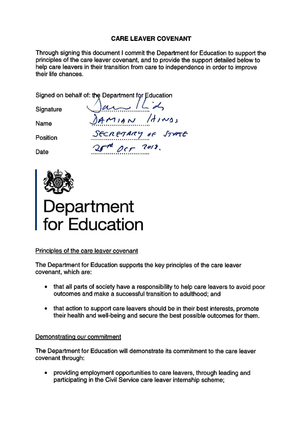## **CARE LEAVER COVENANT**

Through signing this document I commit the Department for Education to support the principles of the care leaver covenant, and to provide the support detailed below to help care leavers in their transition from care to independence in order to improve their life chances.

Signed on behalf of: the Department for Education<br>Signature  $\left( \bigcup_{m} a_m \right)$ 

 $Name$   $\lambda A \sim \lambda \cdot \lambda$ 

Position SECRETARY OF

Date  $25^{\prime\prime}$   $05^{\prime\prime}$   $70/3$ .



# **Department for Education**

#### Principles of the care leaver covenant

The Department for Education supports the key principles of the care leaver covenant, which are:

- that all parts of society have a responsibility to help care leavers to avoid poor outcomes and make a successful transition to adulthood; and
- that action to support care leavers should be in their best interests, promote their health and well-being and secure the best possible outcomes for them.

## Demonstrating our commitment

The Department for Education will demonstrate its commitment to the care leaver covenant through:

• providing employment opportunities to care leavers, through leading and participating in the Civil Service care leaver internship scheme;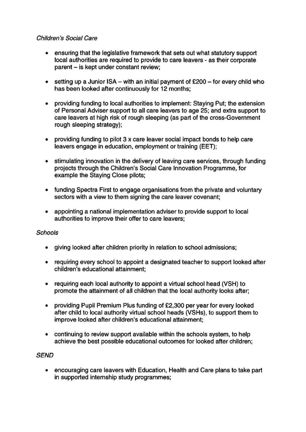#### *Children's Social Care*

- ensuring that the legislative framework that sets out what statutory support local authorities are required to provide to care leavers - as their corporate parent - is kept under constant review;
- setting up a Junior  $ISA with$  an initial payment of £200 for every child who has been looked after continuously for 12 months;
- providing funding to local authorities to implement: Staying Put; the extension of Personal Adviser support to all care leavers to age 25; and extra support to care leavers at high risk of rough sleeping (as part of the cross-Government rough sleeping strategy);
- providing funding to pilot 3 x care leaver social impact bonds to help care leavers engage in education, employment or training **(EET);**
- stimulating innovation in the delivery of leaving care services, through funding projects through the Children's Social Care Innovation Programme, for example the Staying Close pilots;
- funding Spectra First to engage organisations from the private and voluntary sectors with a view to them signing the care leaver covenant;
- appointing a national implementation adviser to provide support to local authorities to improve their offer to care leavers;

## *Schools*

- giving looked after children priority in relation to school admissions;
- requiring every school to appoint a designated teacher to support looked after children's educational attainment;
- requiring each local authority to appoint a virtual school head (VSH) to promote the attainment of all children that the local authority looks after;
- providing Pupil Premium Plus funding of £2,300 per year for every looked after child to local authority virtual school heads (VSHs), to support them to improve looked after children's educational attainment;
- continuing to review support available within the schools system, to help achieve the best possible educational outcomes for looked after children;

#### *SEND*

• encouraging care leavers with Education, Health and Care plans to take part in supported internship study programmes;